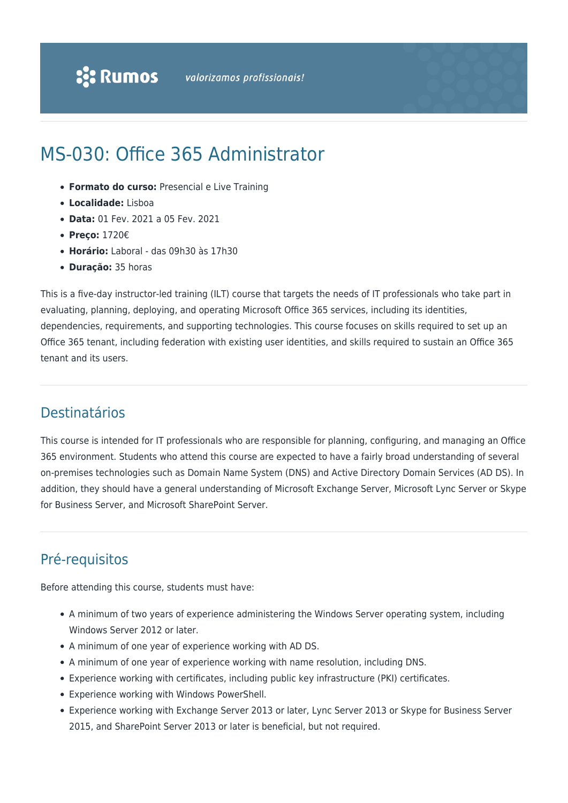# MS-030: Office 365 Administrator

- **Formato do curso:** Presencial e Live Training
- **Localidade:** Lisboa
- **Data:** 01 Fev. 2021 a 05 Fev. 2021
- **Preço:** 1720€
- **Horário:** Laboral das 09h30 às 17h30
- **Duração:** 35 horas

This is a five-day instructor-led training (ILT) course that targets the needs of IT professionals who take part in evaluating, planning, deploying, and operating Microsoft Office 365 services, including its identities, dependencies, requirements, and supporting technologies. This course focuses on skills required to set up an Office 365 tenant, including federation with existing user identities, and skills required to sustain an Office 365 tenant and its users.

### Destinatários

This course is intended for IT professionals who are responsible for planning, configuring, and managing an Office 365 environment. Students who attend this course are expected to have a fairly broad understanding of several on-premises technologies such as Domain Name System (DNS) and Active Directory Domain Services (AD DS). In addition, they should have a general understanding of Microsoft Exchange Server, Microsoft Lync Server or Skype for Business Server, and Microsoft SharePoint Server.

## Pré-requisitos

Before attending this course, students must have:

- A minimum of two years of experience administering the Windows Server operating system, including Windows Server 2012 or later.
- A minimum of one year of experience working with AD DS.
- A minimum of one year of experience working with name resolution, including DNS.
- Experience working with certificates, including public key infrastructure (PKI) certificates.
- Experience working with Windows PowerShell.
- Experience working with Exchange Server 2013 or later, Lync Server 2013 or Skype for Business Server 2015, and SharePoint Server 2013 or later is beneficial, but not required.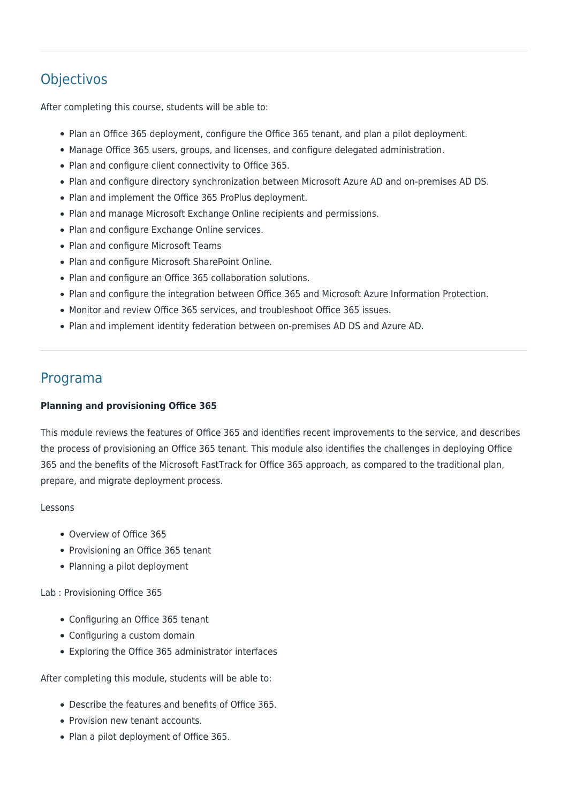# **Objectivos**

After completing this course, students will be able to:

- Plan an Office 365 deployment, configure the Office 365 tenant, and plan a pilot deployment.
- Manage Office 365 users, groups, and licenses, and configure delegated administration.
- Plan and configure client connectivity to Office 365.
- Plan and configure directory synchronization between Microsoft Azure AD and on-premises AD DS.
- Plan and implement the Office 365 ProPlus deployment.
- Plan and manage Microsoft Exchange Online recipients and permissions.
- Plan and configure Exchange Online services.
- Plan and configure Microsoft Teams
- Plan and configure Microsoft SharePoint Online.
- Plan and configure an Office 365 collaboration solutions.
- Plan and configure the integration between Office 365 and Microsoft Azure Information Protection.
- Monitor and review Office 365 services, and troubleshoot Office 365 issues.
- Plan and implement identity federation between on-premises AD DS and Azure AD.

### Programa

#### **Planning and provisioning Office 365**

This module reviews the features of Office 365 and identifies recent improvements to the service, and describes the process of provisioning an Office 365 tenant. This module also identifies the challenges in deploying Office 365 and the benefits of the Microsoft FastTrack for Office 365 approach, as compared to the traditional plan, prepare, and migrate deployment process.

#### Lessons

- Overview of Office 365
- Provisioning an Office 365 tenant
- Planning a pilot deployment

Lab : Provisioning Office 365

- Configuring an Office 365 tenant
- Configuring a custom domain
- Exploring the Office 365 administrator interfaces

After completing this module, students will be able to:

- Describe the features and benefits of Office 365.
- Provision new tenant accounts.
- Plan a pilot deployment of Office 365.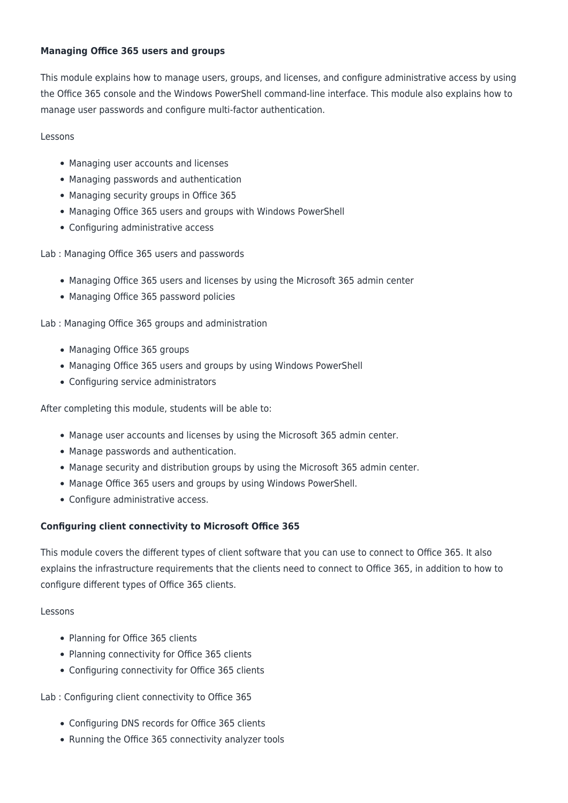#### **Managing Office 365 users and groups**

This module explains how to manage users, groups, and licenses, and configure administrative access by using the Office 365 console and the Windows PowerShell command-line interface. This module also explains how to manage user passwords and configure multi-factor authentication.

#### Lessons

- Managing user accounts and licenses
- Managing passwords and authentication
- Managing security groups in Office 365
- Managing Office 365 users and groups with Windows PowerShell
- Configuring administrative access

Lab : Managing Office 365 users and passwords

- Managing Office 365 users and licenses by using the Microsoft 365 admin center
- Managing Office 365 password policies

Lab : Managing Office 365 groups and administration

- Managing Office 365 groups
- Managing Office 365 users and groups by using Windows PowerShell
- Configuring service administrators

After completing this module, students will be able to:

- Manage user accounts and licenses by using the Microsoft 365 admin center.
- Manage passwords and authentication.
- Manage security and distribution groups by using the Microsoft 365 admin center.
- Manage Office 365 users and groups by using Windows PowerShell.
- Configure administrative access.

#### **Configuring client connectivity to Microsoft Office 365**

This module covers the different types of client software that you can use to connect to Office 365. It also explains the infrastructure requirements that the clients need to connect to Office 365, in addition to how to configure different types of Office 365 clients.

#### Lessons

- Planning for Office 365 clients
- Planning connectivity for Office 365 clients
- Configuring connectivity for Office 365 clients

Lab : Configuring client connectivity to Office 365

- Configuring DNS records for Office 365 clients
- Running the Office 365 connectivity analyzer tools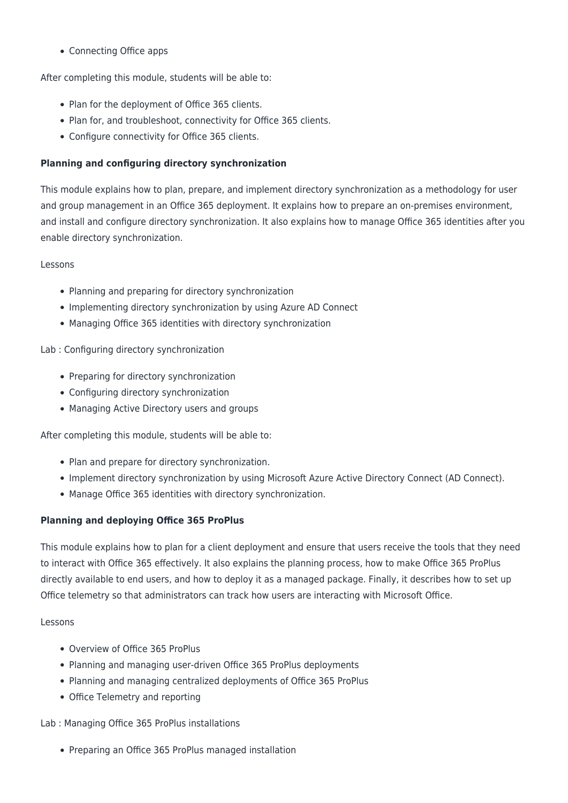Connecting Office apps

After completing this module, students will be able to:

- Plan for the deployment of Office 365 clients.
- Plan for, and troubleshoot, connectivity for Office 365 clients.
- Configure connectivity for Office 365 clients.

#### **Planning and configuring directory synchronization**

This module explains how to plan, prepare, and implement directory synchronization as a methodology for user and group management in an Office 365 deployment. It explains how to prepare an on-premises environment, and install and configure directory synchronization. It also explains how to manage Office 365 identities after you enable directory synchronization.

#### Lessons

- Planning and preparing for directory synchronization
- Implementing directory synchronization by using Azure AD Connect
- Managing Office 365 identities with directory synchronization

#### Lab : Configuring directory synchronization

- Preparing for directory synchronization
- Configuring directory synchronization
- Managing Active Directory users and groups

After completing this module, students will be able to:

- Plan and prepare for directory synchronization.
- Implement directory synchronization by using Microsoft Azure Active Directory Connect (AD Connect).
- Manage Office 365 identities with directory synchronization.

#### **Planning and deploying Office 365 ProPlus**

This module explains how to plan for a client deployment and ensure that users receive the tools that they need to interact with Office 365 effectively. It also explains the planning process, how to make Office 365 ProPlus directly available to end users, and how to deploy it as a managed package. Finally, it describes how to set up Office telemetry so that administrators can track how users are interacting with Microsoft Office.

#### Lessons

- Overview of Office 365 ProPlus
- Planning and managing user-driven Office 365 ProPlus deployments
- Planning and managing centralized deployments of Office 365 ProPlus
- Office Telemetry and reporting

#### Lab : Managing Office 365 ProPlus installations

• Preparing an Office 365 ProPlus managed installation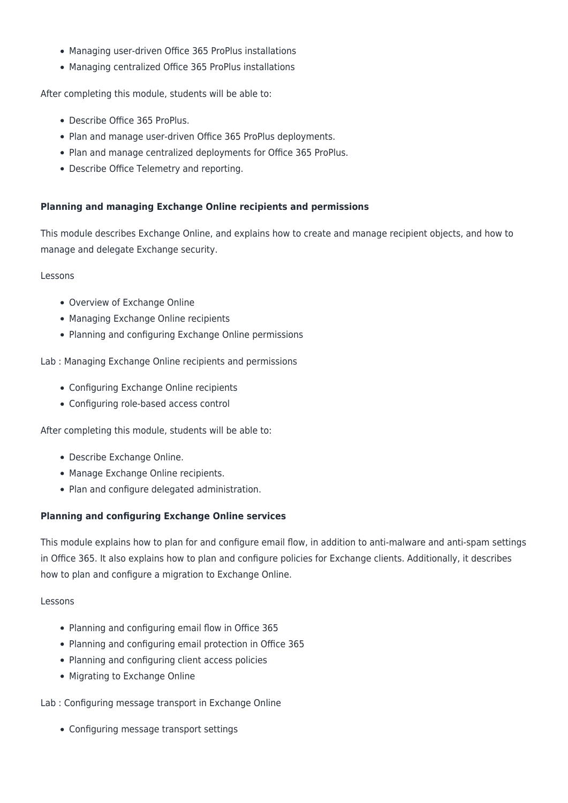- Managing user-driven Office 365 ProPlus installations
- Managing centralized Office 365 ProPlus installations

After completing this module, students will be able to:

- Describe Office 365 ProPlus.
- Plan and manage user-driven Office 365 ProPlus deployments.
- Plan and manage centralized deployments for Office 365 ProPlus.
- Describe Office Telemetry and reporting.

#### **Planning and managing Exchange Online recipients and permissions**

This module describes Exchange Online, and explains how to create and manage recipient objects, and how to manage and delegate Exchange security.

Lessons

- Overview of Exchange Online
- Managing Exchange Online recipients
- Planning and configuring Exchange Online permissions

Lab : Managing Exchange Online recipients and permissions

- Configuring Exchange Online recipients
- Configuring role-based access control

After completing this module, students will be able to:

- Describe Exchange Online.
- Manage Exchange Online recipients.
- Plan and configure delegated administration.

#### **Planning and configuring Exchange Online services**

This module explains how to plan for and configure email flow, in addition to anti-malware and anti-spam settings in Office 365. It also explains how to plan and configure policies for Exchange clients. Additionally, it describes how to plan and configure a migration to Exchange Online.

#### Lessons

- Planning and configuring email flow in Office 365
- Planning and configuring email protection in Office 365
- Planning and configuring client access policies
- Migrating to Exchange Online

Lab : Configuring message transport in Exchange Online

Configuring message transport settings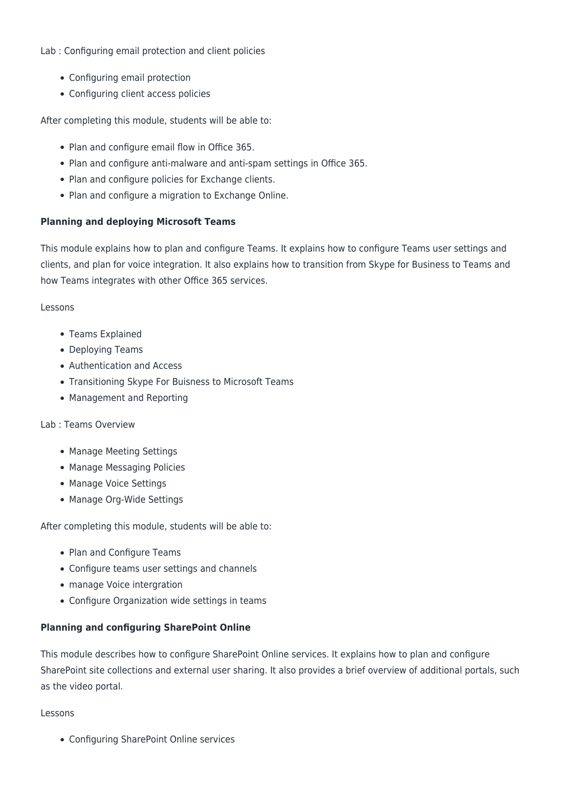#### Lab : Configuring email protection and client policies

- Configuring email protection
- Configuring client access policies

After completing this module, students will be able to:

- Plan and configure email flow in Office 365.
- Plan and configure anti-malware and anti-spam settings in Office 365.
- Plan and configure policies for Exchange clients.
- Plan and configure a migration to Exchange Online.

#### **Planning and deploying Microsoft Teams**

This module explains how to plan and configure Teams. It explains how to configure Teams user settings and clients, and plan for voice integration. It also explains how to transition from Skype for Business to Teams and how Teams integrates with other Office 365 services.

#### Lessons

- Teams Explained
- Deploying Teams
- Authentication and Access
- Transitioning Skype For Buisness to Microsoft Teams
- Management and Reporting

#### Lab : Teams Overview

- Manage Meeting Settings
- Manage Messaging Policies
- Manage Voice Settings
- Manage Org-Wide Settings

After completing this module, students will be able to:

- Plan and Configure Teams
- Configure teams user settings and channels
- manage Voice intergration
- Configure Organization wide settings in teams

#### **Planning and configuring SharePoint Online**

This module describes how to configure SharePoint Online services. It explains how to plan and configure SharePoint site collections and external user sharing. It also provides a brief overview of additional portals, such as the video portal.

#### Lessons

Configuring SharePoint Online services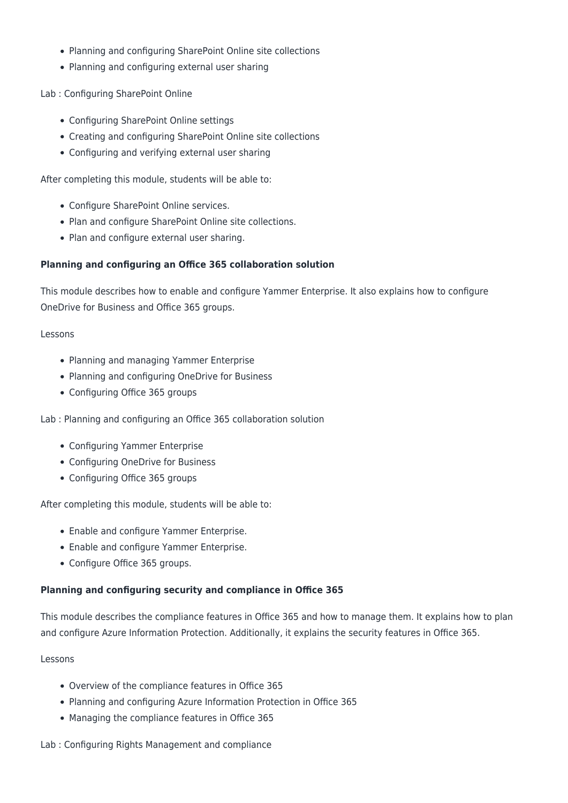- Planning and configuring SharePoint Online site collections
- Planning and configuring external user sharing

Lab : Configuring SharePoint Online

- Configuring SharePoint Online settings
- Creating and configuring SharePoint Online site collections
- Configuring and verifying external user sharing

After completing this module, students will be able to:

- Configure SharePoint Online services.
- Plan and configure SharePoint Online site collections.
- Plan and configure external user sharing.

#### **Planning and configuring an Office 365 collaboration solution**

This module describes how to enable and configure Yammer Enterprise. It also explains how to configure OneDrive for Business and Office 365 groups.

#### Lessons

- Planning and managing Yammer Enterprise
- Planning and configuring OneDrive for Business
- Configuring Office 365 groups

Lab : Planning and configuring an Office 365 collaboration solution

- Configuring Yammer Enterprise
- Configuring OneDrive for Business
- Configuring Office 365 groups

After completing this module, students will be able to:

- Enable and configure Yammer Enterprise.
- Enable and configure Yammer Enterprise.
- Configure Office 365 groups.

#### **Planning and configuring security and compliance in Office 365**

This module describes the compliance features in Office 365 and how to manage them. It explains how to plan and configure Azure Information Protection. Additionally, it explains the security features in Office 365.

#### Lessons

- Overview of the compliance features in Office 365
- Planning and configuring Azure Information Protection in Office 365
- Managing the compliance features in Office 365

#### Lab : Configuring Rights Management and compliance